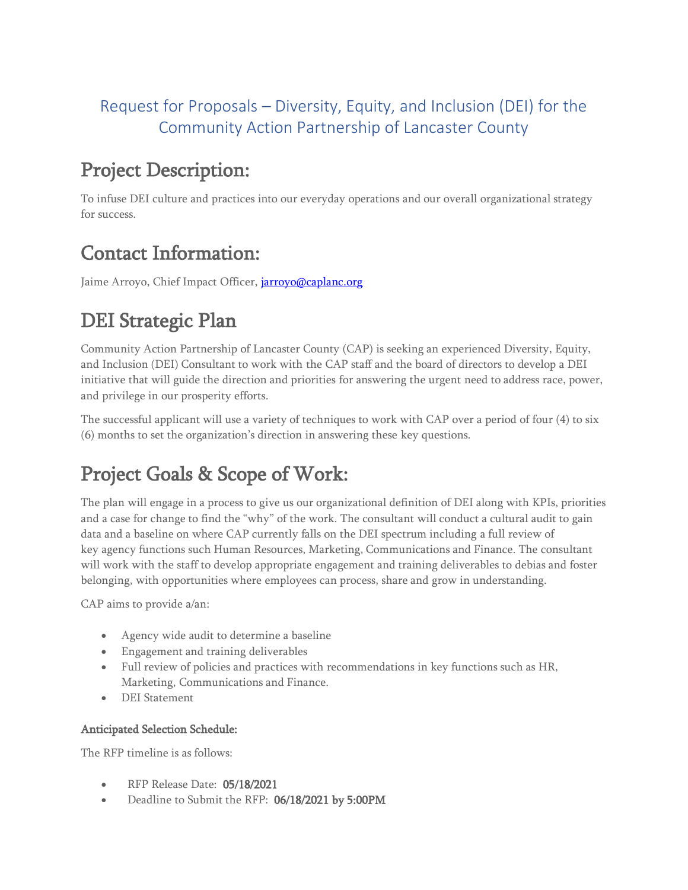#### Request for Proposals – Diversity, Equity, and Inclusion (DEI) for the Community Action Partnership of Lancaster County

## Project Description:

To infuse DEI culture and practices into our everyday operations and our overall organizational strategy for success.

## Contact Information:

Jaime Arroyo, Chief Impact Officer, *jarroyo@caplanc.org* 

## DEI Strategic Plan

Community Action Partnership of Lancaster County (CAP) is seeking an experienced Diversity, Equity, and Inclusion (DEI) Consultant to work with the CAP staff and the board of directors to develop a DEI initiative that will guide the direction and priorities for answering the urgent need to address race, power, and privilege in our prosperity efforts.

The successful applicant will use a variety of techniques to work with CAP over a period of four (4) to six (6) months to set the organization's direction in answering these key questions.

# Project Goals & Scope of Work:

The plan will engage in a process to give us our organizational definition of DEI along with KPIs, priorities and a case for change to find the "why" of the work. The consultant will conduct a cultural audit to gain data and a baseline on where CAP currently falls on the DEI spectrum including a full review of key agency functions such Human Resources, Marketing, Communications and Finance. The consultant will work with the staff to develop appropriate engagement and training deliverables to debias and foster belonging, with opportunities where employees can process, share and grow in understanding.

CAP aims to provide a/an:

- Agency wide audit to determine a baseline
- Engagement and training deliverables
- Full review of policies and practices with recommendations in key functions such as HR, Marketing, Communications and Finance.
- DEI Statement

#### Anticipated Selection Schedule:

The RFP timeline is as follows:

- RFP Release Date: 05/18/2021
- Deadline to Submit the RFP: 06/18/2021 by 5:00PM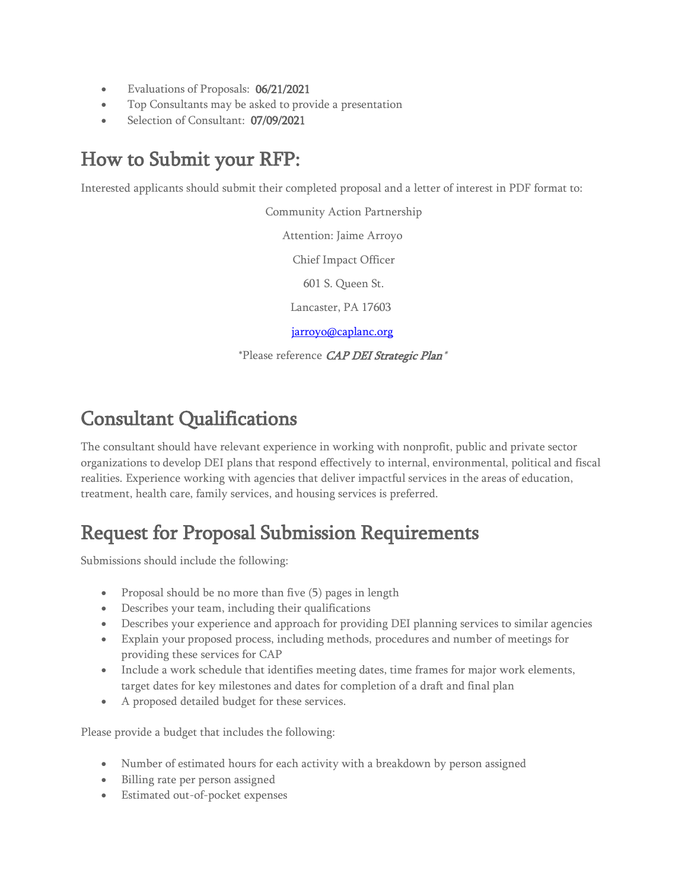- Evaluations of Proposals: 06/21/2021
- Top Consultants may be asked to provide a presentation
- Selection of Consultant: 07/09/2021

### How to Submit your RFP:

Interested applicants should submit their completed proposal and a letter of interest in PDF format to:

Community Action Partnership Attention: Jaime Arroyo Chief Impact Officer 601 S. Queen St. Lancaster, PA 17603 [jarroyo@caplanc.org](mailto:jarroyo@caplanc.org)

\*Please reference CAP DEI Strategic Plan\*

## Consultant Qualifications

The consultant should have relevant experience in working with nonprofit, public and private sector organizations to develop DEI plans that respond effectively to internal, environmental, political and fiscal realities. Experience working with agencies that deliver impactful services in the areas of education, treatment, health care, family services, and housing services is preferred.

## Request for Proposal Submission Requirements

Submissions should include the following:

- Proposal should be no more than five (5) pages in length
- Describes your team, including their qualifications
- Describes your experience and approach for providing DEI planning services to similar agencies
- Explain your proposed process, including methods, procedures and number of meetings for providing these services for CAP
- Include a work schedule that identifies meeting dates, time frames for major work elements, target dates for key milestones and dates for completion of a draft and final plan
- A proposed detailed budget for these services.

Please provide a budget that includes the following:

- Number of estimated hours for each activity with a breakdown by person assigned
- Billing rate per person assigned
- Estimated out-of-pocket expenses